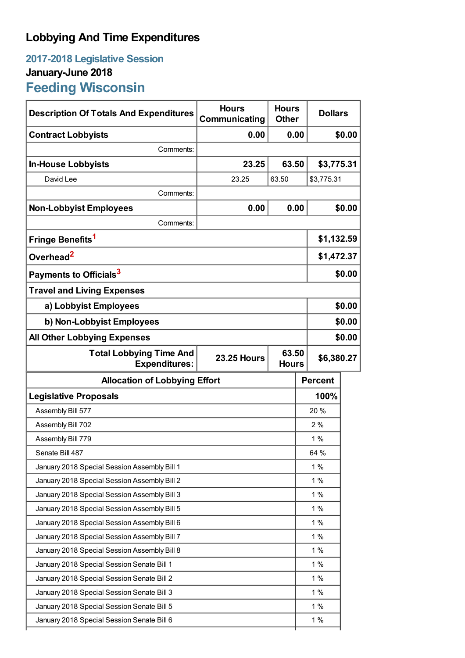# **Lobbying And Time Expenditures**

## **2017-2018 Legislative Session January-June 2018 Feeding Wisconsin**

| <b>Description Of Totals And Expenditures</b>                                            | <b>Hours</b><br>Communicating | <b>Hours</b><br><b>Other</b> |                | <b>Dollars</b> |  |
|------------------------------------------------------------------------------------------|-------------------------------|------------------------------|----------------|----------------|--|
| <b>Contract Lobbyists</b>                                                                | 0.00                          | 0.00                         |                | \$0.00         |  |
| Comments:                                                                                |                               |                              |                |                |  |
| <b>In-House Lobbyists</b>                                                                | 23.25                         | 63.50                        |                | \$3,775.31     |  |
| David Lee                                                                                | 23.25                         | 63.50                        |                | \$3,775.31     |  |
| Comments:                                                                                |                               |                              |                |                |  |
| <b>Non-Lobbyist Employees</b>                                                            | 0.00                          | 0.00                         |                | \$0.00         |  |
| Comments:                                                                                |                               |                              |                |                |  |
| Fringe Benefits <sup>1</sup>                                                             |                               |                              |                | \$1,132.59     |  |
| Overhead <sup>2</sup>                                                                    |                               |                              |                | \$1,472.37     |  |
| Payments to Officials <sup>3</sup>                                                       |                               |                              |                | \$0.00         |  |
| <b>Travel and Living Expenses</b>                                                        |                               |                              |                |                |  |
| a) Lobbyist Employees                                                                    |                               |                              |                | \$0.00         |  |
| b) Non-Lobbyist Employees                                                                |                               |                              |                | \$0.00         |  |
| <b>All Other Lobbying Expenses</b>                                                       |                               |                              |                | \$0.00         |  |
| <b>Total Lobbying Time And</b><br><b>Expenditures:</b>                                   | <b>23.25 Hours</b>            | 63.50<br><b>Hours</b>        |                | \$6,380.27     |  |
| <b>Allocation of Lobbying Effort</b>                                                     |                               |                              |                |                |  |
|                                                                                          |                               |                              | <b>Percent</b> |                |  |
| <b>Legislative Proposals</b>                                                             |                               |                              |                | 100%           |  |
| Assembly Bill 577                                                                        |                               |                              | 20%            |                |  |
| Assembly Bill 702                                                                        |                               |                              | 2%             |                |  |
| Assembly Bill 779                                                                        |                               |                              | 1%             |                |  |
| Senate Bill 487                                                                          |                               |                              | 64 %           |                |  |
| January 2018 Special Session Assembly Bill 1                                             |                               |                              | 1%             |                |  |
| January 2018 Special Session Assembly Bill 2                                             |                               |                              | 1%             |                |  |
| January 2018 Special Session Assembly Bill 3                                             |                               |                              | 1%             |                |  |
| January 2018 Special Session Assembly Bill 5                                             |                               |                              | 1%             |                |  |
| January 2018 Special Session Assembly Bill 6                                             |                               |                              | 1%             |                |  |
| January 2018 Special Session Assembly Bill 7                                             |                               |                              | 1%             |                |  |
| January 2018 Special Session Assembly Bill 8                                             |                               |                              | 1%             |                |  |
| January 2018 Special Session Senate Bill 1                                               |                               |                              | 1%             |                |  |
| January 2018 Special Session Senate Bill 2                                               |                               |                              | 1%             |                |  |
| January 2018 Special Session Senate Bill 3                                               |                               |                              | 1%             |                |  |
| January 2018 Special Session Senate Bill 5<br>January 2018 Special Session Senate Bill 6 |                               |                              | 1%<br>$1\%$    |                |  |